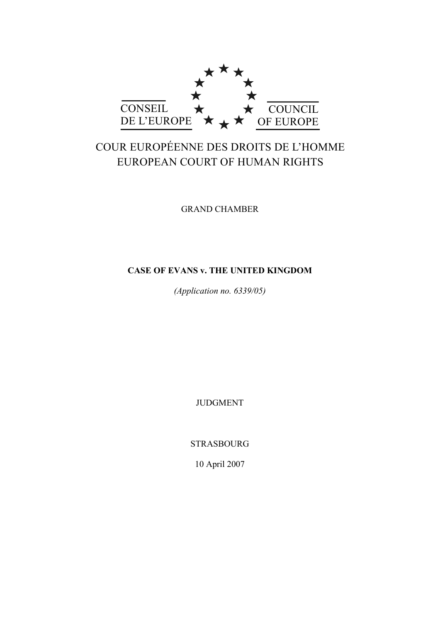

# COUR EUROPÉENNE DES DROITS DE L'HOMME EUROPEAN COURT OF HUMAN RIGHTS

GRAND CHAMBER

# **CASE OF EVANS v. THE UNITED KINGDOM**

*(Application no. 6339/05)* 

JUDGMENT

STRASBOURG

10 April 2007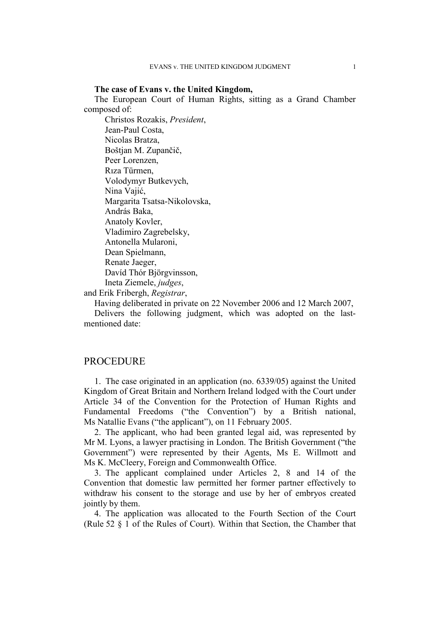#### **The case of Evans v. the United Kingdom,**

The European Court of Human Rights, sitting as a Grand Chamber composed of:

 Christos Rozakis, *President*, Jean-Paul Costa, Nicolas Bratza, Boštjan M. Zupančič, Peer Lorenzen, Rıza Türmen, Volodymyr Butkevych, Nina Vajić, Margarita Tsatsa-Nikolovska, András Baka, Anatoly Kovler, Vladimiro Zagrebelsky, Antonella Mularoni, Dean Spielmann, Renate Jaeger, Davíd Thór Björgvinsson, Ineta Ziemele, *judges*,

and Erik Fribergh, *Registrar*,

Having deliberated in private on 22 November 2006 and 12 March 2007,

Delivers the following judgment, which was adopted on the lastmentioned date:

### **PROCEDURE**

1. The case originated in an application (no. 6339/05) against the United Kingdom of Great Britain and Northern Ireland lodged with the Court under Article 34 of the Convention for the Protection of Human Rights and Fundamental Freedoms ("the Convention") by a British national, Ms Natallie Evans ("the applicant"), on 11 February 2005.

2. The applicant, who had been granted legal aid, was represented by Mr M. Lyons, a lawyer practising in London. The British Government ("the Government") were represented by their Agents, Ms E. Willmott and Ms K. McCleery, Foreign and Commonwealth Office.

3. The applicant complained under Articles 2, 8 and 14 of the Convention that domestic law permitted her former partner effectively to withdraw his consent to the storage and use by her of embryos created jointly by them.

4. The application was allocated to the Fourth Section of the Court (Rule 52 § 1 of the Rules of Court). Within that Section, the Chamber that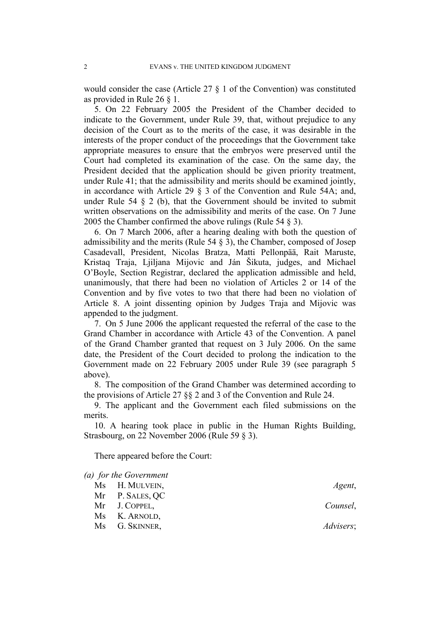would consider the case (Article 27 § 1 of the Convention) was constituted as provided in Rule 26 § 1.

5. On 22 February 2005 the President of the Chamber decided to indicate to the Government, under Rule 39, that, without prejudice to any decision of the Court as to the merits of the case, it was desirable in the interests of the proper conduct of the proceedings that the Government take appropriate measures to ensure that the embryos were preserved until the Court had completed its examination of the case. On the same day, the President decided that the application should be given priority treatment, under Rule 41; that the admissibility and merits should be examined jointly, in accordance with Article 29 § 3 of the Convention and Rule 54A; and, under Rule 54  $\S$  2 (b), that the Government should be invited to submit written observations on the admissibility and merits of the case. On 7 June 2005 the Chamber confirmed the above rulings (Rule 54 § 3).

6. On 7 March 2006, after a hearing dealing with both the question of admissibility and the merits (Rule 54 § 3), the Chamber, composed of Josep Casadevall, President, Nicolas Bratza, Matti Pellonpää, Rait Maruste, Kristaq Traja, Ljiljana Mijovic and Ján Šikuta, judges, and Michael O'Boyle, Section Registrar, declared the application admissible and held, unanimously, that there had been no violation of Articles 2 or 14 of the Convention and by five votes to two that there had been no violation of Article 8. A joint dissenting opinion by Judges Traja and Mijovic was appended to the judgment.

7. On 5 June 2006 the applicant requested the referral of the case to the Grand Chamber in accordance with Article 43 of the Convention. A panel of the Grand Chamber granted that request on 3 July 2006. On the same date, the President of the Court decided to prolong the indication to the Government made on 22 February 2005 under Rule 39 (see paragraph 5 above).

8. The composition of the Grand Chamber was determined according to the provisions of Article 27 §§ 2 and 3 of the Convention and Rule 24.

9. The applicant and the Government each filed submissions on the merits.

10. A hearing took place in public in the Human Rights Building, Strasbourg, on 22 November 2006 (Rule 59 § 3).

There appeared before the Court:

| (a) for the Government |                   |
|------------------------|-------------------|
| Ms H. MULVEIN,         | Agent,            |
| Mr P. SALES, QC        |                   |
| Mr J. COPPEL,          | Counsel,          |
| Ms K. ARNOLD,          |                   |
| Ms G. SKINNER,         | <i>Advisers</i> ; |
|                        |                   |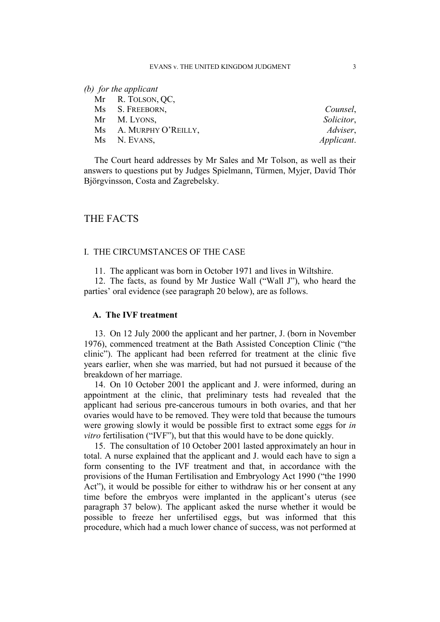### *(b) for the applicant*

| Mr R. TOLSON, QC,      |            |
|------------------------|------------|
| Ms S. FREEBORN,        | Counsel,   |
| Mr M. LYONS,           | Solicitor, |
| Ms A. MURPHY O'REILLY, | Adviser,   |
| Ms N. EVANS,           | Applicant. |

The Court heard addresses by Mr Sales and Mr Tolson, as well as their answers to questions put by Judges Spielmann, Türmen, Myjer, Davíd Thór Björgvinsson, Costa and Zagrebelsky.

# THE FACTS

### I. THE CIRCUMSTANCES OF THE CASE

11. The applicant was born in October 1971 and lives in Wiltshire.

12. The facts, as found by Mr Justice Wall ("Wall J"), who heard the parties' oral evidence (see paragraph 20 below), are as follows.

#### **A. The IVF treatment**

13. On 12 July 2000 the applicant and her partner, J. (born in November 1976), commenced treatment at the Bath Assisted Conception Clinic ("the clinic"). The applicant had been referred for treatment at the clinic five years earlier, when she was married, but had not pursued it because of the breakdown of her marriage.

14. On 10 October 2001 the applicant and J. were informed, during an appointment at the clinic, that preliminary tests had revealed that the applicant had serious pre-cancerous tumours in both ovaries, and that her ovaries would have to be removed. They were told that because the tumours were growing slowly it would be possible first to extract some eggs for *in vitro* fertilisation ("IVF"), but that this would have to be done quickly.

15. The consultation of 10 October 2001 lasted approximately an hour in total. A nurse explained that the applicant and J. would each have to sign a form consenting to the IVF treatment and that, in accordance with the provisions of the Human Fertilisation and Embryology Act 1990 ("the 1990 Act"), it would be possible for either to withdraw his or her consent at any time before the embryos were implanted in the applicant's uterus (see paragraph 37 below). The applicant asked the nurse whether it would be possible to freeze her unfertilised eggs, but was informed that this procedure, which had a much lower chance of success, was not performed at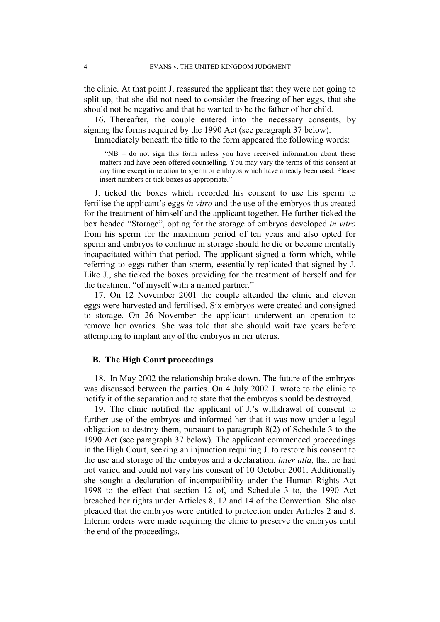the clinic. At that point J. reassured the applicant that they were not going to split up, that she did not need to consider the freezing of her eggs, that she should not be negative and that he wanted to be the father of her child.

16. Thereafter, the couple entered into the necessary consents, by signing the forms required by the 1990 Act (see paragraph 37 below).

Immediately beneath the title to the form appeared the following words:

"NB – do not sign this form unless you have received information about these matters and have been offered counselling. You may vary the terms of this consent at any time except in relation to sperm or embryos which have already been used. Please insert numbers or tick boxes as appropriate."

J. ticked the boxes which recorded his consent to use his sperm to fertilise the applicant's eggs *in vitro* and the use of the embryos thus created for the treatment of himself and the applicant together. He further ticked the box headed "Storage", opting for the storage of embryos developed *in vitro* from his sperm for the maximum period of ten years and also opted for sperm and embryos to continue in storage should he die or become mentally incapacitated within that period. The applicant signed a form which, while referring to eggs rather than sperm, essentially replicated that signed by J. Like J., she ticked the boxes providing for the treatment of herself and for the treatment "of myself with a named partner."

17. On 12 November 2001 the couple attended the clinic and eleven eggs were harvested and fertilised. Six embryos were created and consigned to storage. On 26 November the applicant underwent an operation to remove her ovaries. She was told that she should wait two years before attempting to implant any of the embryos in her uterus.

### **B. The High Court proceedings**

18. In May 2002 the relationship broke down. The future of the embryos was discussed between the parties. On 4 July 2002 J. wrote to the clinic to notify it of the separation and to state that the embryos should be destroyed.

19. The clinic notified the applicant of J.'s withdrawal of consent to further use of the embryos and informed her that it was now under a legal obligation to destroy them, pursuant to paragraph 8(2) of Schedule 3 to the 1990 Act (see paragraph 37 below). The applicant commenced proceedings in the High Court, seeking an injunction requiring J. to restore his consent to the use and storage of the embryos and a declaration, *inter alia*, that he had not varied and could not vary his consent of 10 October 2001. Additionally she sought a declaration of incompatibility under the Human Rights Act 1998 to the effect that section 12 of, and Schedule 3 to, the 1990 Act breached her rights under Articles 8, 12 and 14 of the Convention. She also pleaded that the embryos were entitled to protection under Articles 2 and 8. Interim orders were made requiring the clinic to preserve the embryos until the end of the proceedings.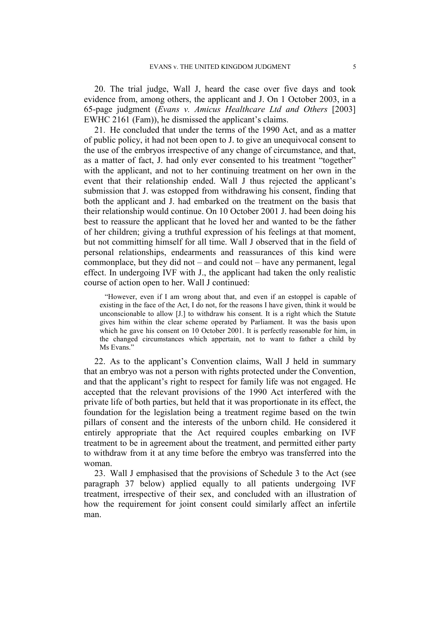20. The trial judge, Wall J, heard the case over five days and took evidence from, among others, the applicant and J. On 1 October 2003, in a 65-page judgment (*Evans v. Amicus Healthcare Ltd and Others* [2003] EWHC 2161 (Fam)), he dismissed the applicant's claims.

21. He concluded that under the terms of the 1990 Act, and as a matter of public policy, it had not been open to J. to give an unequivocal consent to the use of the embryos irrespective of any change of circumstance, and that, as a matter of fact, J. had only ever consented to his treatment "together" with the applicant, and not to her continuing treatment on her own in the event that their relationship ended. Wall J thus rejected the applicant's submission that J. was estopped from withdrawing his consent, finding that both the applicant and J. had embarked on the treatment on the basis that their relationship would continue. On 10 October 2001 J. had been doing his best to reassure the applicant that he loved her and wanted to be the father of her children; giving a truthful expression of his feelings at that moment, but not committing himself for all time. Wall J observed that in the field of personal relationships, endearments and reassurances of this kind were commonplace, but they did not – and could not – have any permanent, legal effect. In undergoing IVF with J., the applicant had taken the only realistic course of action open to her. Wall J continued:

"However, even if I am wrong about that, and even if an estoppel is capable of existing in the face of the Act, I do not, for the reasons I have given, think it would be unconscionable to allow [J.] to withdraw his consent. It is a right which the Statute gives him within the clear scheme operated by Parliament. It was the basis upon which he gave his consent on 10 October 2001. It is perfectly reasonable for him, in the changed circumstances which appertain, not to want to father a child by Ms Evans."

22. As to the applicant's Convention claims, Wall J held in summary that an embryo was not a person with rights protected under the Convention, and that the applicant's right to respect for family life was not engaged. He accepted that the relevant provisions of the 1990 Act interfered with the private life of both parties, but held that it was proportionate in its effect, the foundation for the legislation being a treatment regime based on the twin pillars of consent and the interests of the unborn child. He considered it entirely appropriate that the Act required couples embarking on IVF treatment to be in agreement about the treatment, and permitted either party to withdraw from it at any time before the embryo was transferred into the woman.

23. Wall J emphasised that the provisions of Schedule 3 to the Act (see paragraph 37 below) applied equally to all patients undergoing IVF treatment, irrespective of their sex, and concluded with an illustration of how the requirement for joint consent could similarly affect an infertile man.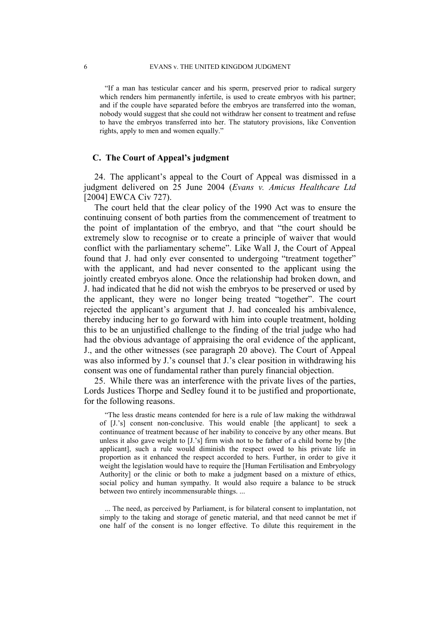"If a man has testicular cancer and his sperm, preserved prior to radical surgery which renders him permanently infertile, is used to create embryos with his partner; and if the couple have separated before the embryos are transferred into the woman, nobody would suggest that she could not withdraw her consent to treatment and refuse to have the embryos transferred into her. The statutory provisions, like Convention rights, apply to men and women equally."

### **C. The Court of Appeal's judgment**

24. The applicant's appeal to the Court of Appeal was dismissed in a judgment delivered on 25 June 2004 (*Evans v. Amicus Healthcare Ltd* [2004] EWCA Civ 727).

The court held that the clear policy of the 1990 Act was to ensure the continuing consent of both parties from the commencement of treatment to the point of implantation of the embryo, and that "the court should be extremely slow to recognise or to create a principle of waiver that would conflict with the parliamentary scheme". Like Wall J, the Court of Appeal found that J. had only ever consented to undergoing "treatment together" with the applicant, and had never consented to the applicant using the jointly created embryos alone. Once the relationship had broken down, and J. had indicated that he did not wish the embryos to be preserved or used by the applicant, they were no longer being treated "together". The court rejected the applicant's argument that J. had concealed his ambivalence, thereby inducing her to go forward with him into couple treatment, holding this to be an unjustified challenge to the finding of the trial judge who had had the obvious advantage of appraising the oral evidence of the applicant, J., and the other witnesses (see paragraph 20 above). The Court of Appeal was also informed by J.'s counsel that J.'s clear position in withdrawing his consent was one of fundamental rather than purely financial objection.

25. While there was an interference with the private lives of the parties, Lords Justices Thorpe and Sedley found it to be justified and proportionate, for the following reasons.

"The less drastic means contended for here is a rule of law making the withdrawal of [J.'s] consent non-conclusive. This would enable [the applicant] to seek a continuance of treatment because of her inability to conceive by any other means. But unless it also gave weight to [J.'s] firm wish not to be father of a child borne by [the applicant], such a rule would diminish the respect owed to his private life in proportion as it enhanced the respect accorded to hers. Further, in order to give it weight the legislation would have to require the [Human Fertilisation and Embryology Authority] or the clinic or both to make a judgment based on a mixture of ethics, social policy and human sympathy. It would also require a balance to be struck between two entirely incommensurable things. ...

... The need, as perceived by Parliament, is for bilateral consent to implantation, not simply to the taking and storage of genetic material, and that need cannot be met if one half of the consent is no longer effective. To dilute this requirement in the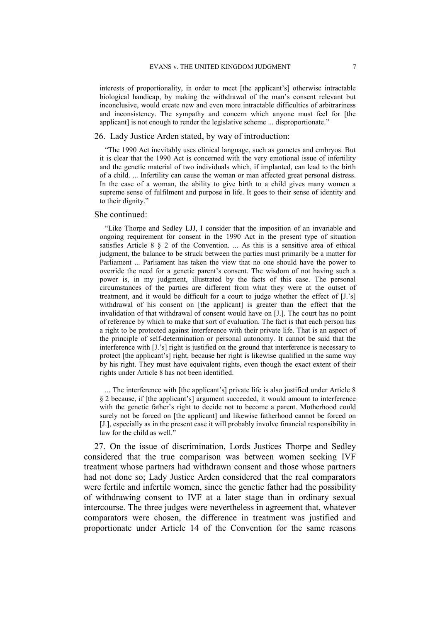interests of proportionality, in order to meet [the applicant's] otherwise intractable biological handicap, by making the withdrawal of the man's consent relevant but inconclusive, would create new and even more intractable difficulties of arbitrariness and inconsistency. The sympathy and concern which anyone must feel for [the applicant] is not enough to render the legislative scheme ... disproportionate."

#### 26. Lady Justice Arden stated, by way of introduction:

"The 1990 Act inevitably uses clinical language, such as gametes and embryos. But it is clear that the 1990 Act is concerned with the very emotional issue of infertility and the genetic material of two individuals which, if implanted, can lead to the birth of a child. ... Infertility can cause the woman or man affected great personal distress. In the case of a woman, the ability to give birth to a child gives many women a supreme sense of fulfilment and purpose in life. It goes to their sense of identity and to their dignity."

#### She continued:

"Like Thorpe and Sedley LJJ, I consider that the imposition of an invariable and ongoing requirement for consent in the 1990 Act in the present type of situation satisfies Article 8  $\S$  2 of the Convention. ... As this is a sensitive area of ethical judgment, the balance to be struck between the parties must primarily be a matter for Parliament ... Parliament has taken the view that no one should have the power to override the need for a genetic parent's consent. The wisdom of not having such a power is, in my judgment, illustrated by the facts of this case. The personal circumstances of the parties are different from what they were at the outset of treatment, and it would be difficult for a court to judge whether the effect of [J.'s] withdrawal of his consent on [the applicant] is greater than the effect that the invalidation of that withdrawal of consent would have on [J.]. The court has no point of reference by which to make that sort of evaluation. The fact is that each person has a right to be protected against interference with their private life. That is an aspect of the principle of self-determination or personal autonomy. It cannot be said that the interference with [J.'s] right is justified on the ground that interference is necessary to protect [the applicant's] right, because her right is likewise qualified in the same way by his right. They must have equivalent rights, even though the exact extent of their rights under Article 8 has not been identified.

... The interference with [the applicant's] private life is also justified under Article 8 § 2 because, if [the applicant's] argument succeeded, it would amount to interference with the genetic father's right to decide not to become a parent. Motherhood could surely not be forced on [the applicant] and likewise fatherhood cannot be forced on [J.], especially as in the present case it will probably involve financial responsibility in law for the child as well."

27. On the issue of discrimination, Lords Justices Thorpe and Sedley considered that the true comparison was between women seeking IVF treatment whose partners had withdrawn consent and those whose partners had not done so; Lady Justice Arden considered that the real comparators were fertile and infertile women, since the genetic father had the possibility of withdrawing consent to IVF at a later stage than in ordinary sexual intercourse. The three judges were nevertheless in agreement that, whatever comparators were chosen, the difference in treatment was justified and proportionate under Article 14 of the Convention for the same reasons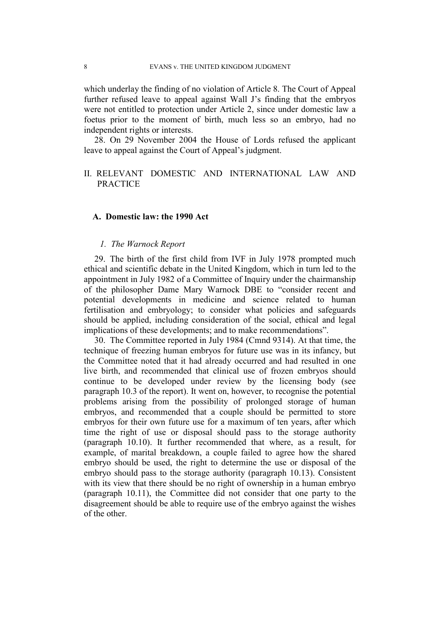which underlay the finding of no violation of Article 8. The Court of Appeal further refused leave to appeal against Wall J's finding that the embryos were not entitled to protection under Article 2, since under domestic law a foetus prior to the moment of birth, much less so an embryo, had no independent rights or interests.

28. On 29 November 2004 the House of Lords refused the applicant leave to appeal against the Court of Appeal's judgment.

### II. RELEVANT DOMESTIC AND INTERNATIONAL LAW AND **PRACTICE**

### **A. Domestic law: the 1990 Act**

### *1. The Warnock Report*

29. The birth of the first child from IVF in July 1978 prompted much ethical and scientific debate in the United Kingdom, which in turn led to the appointment in July 1982 of a Committee of Inquiry under the chairmanship of the philosopher Dame Mary Warnock DBE to "consider recent and potential developments in medicine and science related to human fertilisation and embryology; to consider what policies and safeguards should be applied, including consideration of the social, ethical and legal implications of these developments; and to make recommendations".

30. The Committee reported in July 1984 (Cmnd 9314). At that time, the technique of freezing human embryos for future use was in its infancy, but the Committee noted that it had already occurred and had resulted in one live birth, and recommended that clinical use of frozen embryos should continue to be developed under review by the licensing body (see paragraph 10.3 of the report). It went on, however, to recognise the potential problems arising from the possibility of prolonged storage of human embryos, and recommended that a couple should be permitted to store embryos for their own future use for a maximum of ten years, after which time the right of use or disposal should pass to the storage authority (paragraph 10.10). It further recommended that where, as a result, for example, of marital breakdown, a couple failed to agree how the shared embryo should be used, the right to determine the use or disposal of the embryo should pass to the storage authority (paragraph 10.13). Consistent with its view that there should be no right of ownership in a human embryo (paragraph 10.11), the Committee did not consider that one party to the disagreement should be able to require use of the embryo against the wishes of the other.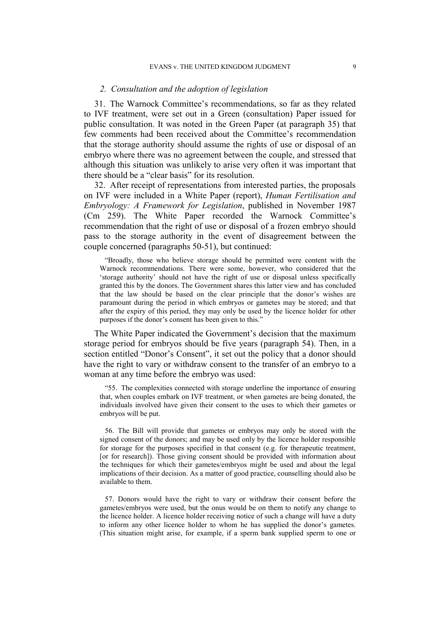#### EVANS v. THE UNITED KINGDOM JUDGMENT 9

### *2. Consultation and the adoption of legislation*

31. The Warnock Committee's recommendations, so far as they related to IVF treatment, were set out in a Green (consultation) Paper issued for public consultation. It was noted in the Green Paper (at paragraph 35) that few comments had been received about the Committee's recommendation that the storage authority should assume the rights of use or disposal of an embryo where there was no agreement between the couple, and stressed that although this situation was unlikely to arise very often it was important that there should be a "clear basis" for its resolution.

32. After receipt of representations from interested parties, the proposals on IVF were included in a White Paper (report), *Human Fertilisation and Embryology: A Framework for Legislation*, published in November 1987 (Cm 259). The White Paper recorded the Warnock Committee's recommendation that the right of use or disposal of a frozen embryo should pass to the storage authority in the event of disagreement between the couple concerned (paragraphs 50-51), but continued:

"Broadly, those who believe storage should be permitted were content with the Warnock recommendations. There were some, however, who considered that the 'storage authority' should not have the right of use or disposal unless specifically granted this by the donors. The Government shares this latter view and has concluded that the law should be based on the clear principle that the donor's wishes are paramount during the period in which embryos or gametes may be stored; and that after the expiry of this period, they may only be used by the licence holder for other purposes if the donor's consent has been given to this."

The White Paper indicated the Government's decision that the maximum storage period for embryos should be five years (paragraph 54). Then, in a section entitled "Donor's Consent", it set out the policy that a donor should have the right to vary or withdraw consent to the transfer of an embryo to a woman at any time before the embryo was used:

"55. The complexities connected with storage underline the importance of ensuring that, when couples embark on IVF treatment, or when gametes are being donated, the individuals involved have given their consent to the uses to which their gametes or embryos will be put.

56. The Bill will provide that gametes or embryos may only be stored with the signed consent of the donors; and may be used only by the licence holder responsible for storage for the purposes specified in that consent (e.g. for therapeutic treatment, [or for research]). Those giving consent should be provided with information about the techniques for which their gametes/embryos might be used and about the legal implications of their decision. As a matter of good practice, counselling should also be available to them.

57. Donors would have the right to vary or withdraw their consent before the gametes/embryos were used, but the onus would be on them to notify any change to the licence holder. A licence holder receiving notice of such a change will have a duty to inform any other licence holder to whom he has supplied the donor's gametes. (This situation might arise, for example, if a sperm bank supplied sperm to one or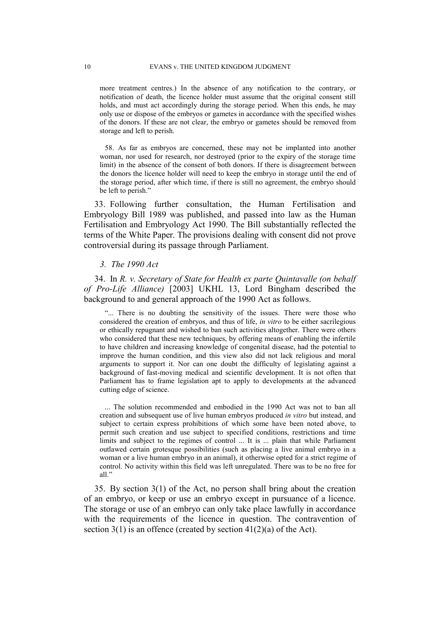more treatment centres.) In the absence of any notification to the contrary, or notification of death, the licence holder must assume that the original consent still holds, and must act accordingly during the storage period. When this ends, he may only use or dispose of the embryos or gametes in accordance with the specified wishes of the donors. If these are not clear, the embryo or gametes should be removed from storage and left to perish.

58. As far as embryos are concerned, these may not be implanted into another woman, nor used for research, nor destroyed (prior to the expiry of the storage time limit) in the absence of the consent of both donors. If there is disagreement between the donors the licence holder will need to keep the embryo in storage until the end of the storage period, after which time, if there is still no agreement, the embryo should be left to perish."

33. Following further consultation, the Human Fertilisation and Embryology Bill 1989 was published, and passed into law as the Human Fertilisation and Embryology Act 1990. The Bill substantially reflected the terms of the White Paper. The provisions dealing with consent did not prove controversial during its passage through Parliament.

### *3. The 1990 Act*

34. In *R. v. Secretary of State for Health ex parte Quintavalle (on behalf of Pro-Life Alliance)* [2003] UKHL 13, Lord Bingham described the background to and general approach of the 1990 Act as follows.

"... There is no doubting the sensitivity of the issues. There were those who considered the creation of embryos, and thus of life, *in vitro* to be either sacrilegious or ethically repugnant and wished to ban such activities altogether. There were others who considered that these new techniques, by offering means of enabling the infertile to have children and increasing knowledge of congenital disease, had the potential to improve the human condition, and this view also did not lack religious and moral arguments to support it. Nor can one doubt the difficulty of legislating against a background of fast-moving medical and scientific development. It is not often that Parliament has to frame legislation apt to apply to developments at the advanced cutting edge of science.

... The solution recommended and embodied in the 1990 Act was not to ban all creation and subsequent use of live human embryos produced *in vitro* but instead, and subject to certain express prohibitions of which some have been noted above, to permit such creation and use subject to specified conditions, restrictions and time limits and subject to the regimes of control ... It is ... plain that while Parliament outlawed certain grotesque possibilities (such as placing a live animal embryo in a woman or a live human embryo in an animal), it otherwise opted for a strict regime of control. No activity within this field was left unregulated. There was to be no free for all."

35. By section 3(1) of the Act, no person shall bring about the creation of an embryo, or keep or use an embryo except in pursuance of a licence. The storage or use of an embryo can only take place lawfully in accordance with the requirements of the licence in question. The contravention of section 3(1) is an offence (created by section 41(2)(a) of the Act).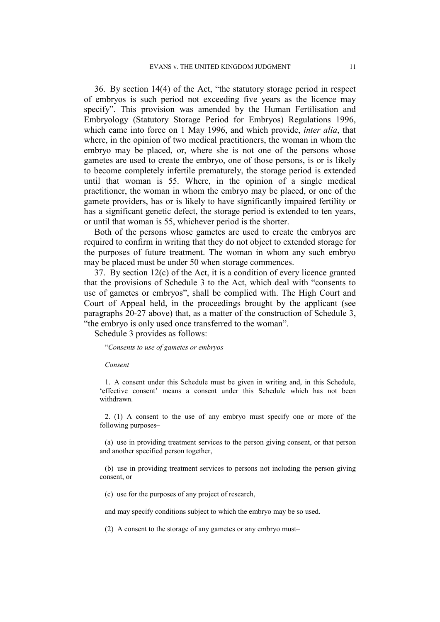36. By section 14(4) of the Act, "the statutory storage period in respect of embryos is such period not exceeding five years as the licence may specify". This provision was amended by the Human Fertilisation and Embryology (Statutory Storage Period for Embryos) Regulations 1996, which came into force on 1 May 1996, and which provide, *inter alia*, that where, in the opinion of two medical practitioners, the woman in whom the embryo may be placed, or, where she is not one of the persons whose gametes are used to create the embryo, one of those persons, is or is likely to become completely infertile prematurely, the storage period is extended until that woman is 55. Where, in the opinion of a single medical practitioner, the woman in whom the embryo may be placed, or one of the gamete providers, has or is likely to have significantly impaired fertility or has a significant genetic defect, the storage period is extended to ten years, or until that woman is 55, whichever period is the shorter.

Both of the persons whose gametes are used to create the embryos are required to confirm in writing that they do not object to extended storage for the purposes of future treatment. The woman in whom any such embryo may be placed must be under 50 when storage commences.

37. By section 12(c) of the Act, it is a condition of every licence granted that the provisions of Schedule 3 to the Act, which deal with "consents to use of gametes or embryos", shall be complied with. The High Court and Court of Appeal held, in the proceedings brought by the applicant (see paragraphs 20-27 above) that, as a matter of the construction of Schedule 3, "the embryo is only used once transferred to the woman".

Schedule 3 provides as follows:

"*Consents to use of gametes or embryos* 

#### *Consent*

1. A consent under this Schedule must be given in writing and, in this Schedule, 'effective consent' means a consent under this Schedule which has not been withdrawn.

2. (1) A consent to the use of any embryo must specify one or more of the following purposes–

(a) use in providing treatment services to the person giving consent, or that person and another specified person together,

(b) use in providing treatment services to persons not including the person giving consent, or

(c) use for the purposes of any project of research,

and may specify conditions subject to which the embryo may be so used.

(2) A consent to the storage of any gametes or any embryo must–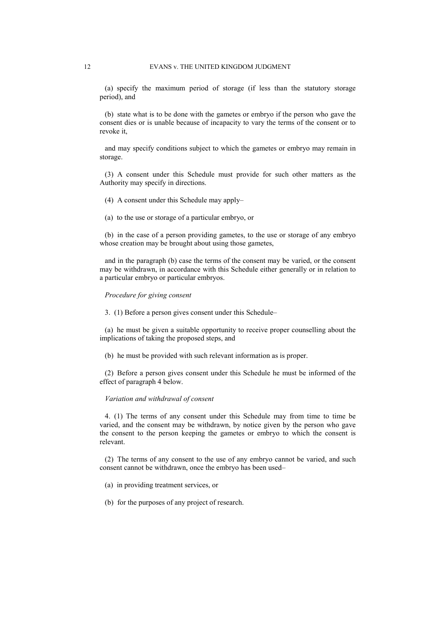(a) specify the maximum period of storage (if less than the statutory storage period), and

(b) state what is to be done with the gametes or embryo if the person who gave the consent dies or is unable because of incapacity to vary the terms of the consent or to revoke it,

and may specify conditions subject to which the gametes or embryo may remain in storage.

(3) A consent under this Schedule must provide for such other matters as the Authority may specify in directions.

(4) A consent under this Schedule may apply–

(a) to the use or storage of a particular embryo, or

(b) in the case of a person providing gametes, to the use or storage of any embryo whose creation may be brought about using those gametes,

and in the paragraph (b) case the terms of the consent may be varied, or the consent may be withdrawn, in accordance with this Schedule either generally or in relation to a particular embryo or particular embryos.

#### *Procedure for giving consent*

3. (1) Before a person gives consent under this Schedule–

(a) he must be given a suitable opportunity to receive proper counselling about the implications of taking the proposed steps, and

(b) he must be provided with such relevant information as is proper.

(2) Before a person gives consent under this Schedule he must be informed of the effect of paragraph 4 below.

#### *Variation and withdrawal of consent*

4. (1) The terms of any consent under this Schedule may from time to time be varied, and the consent may be withdrawn, by notice given by the person who gave the consent to the person keeping the gametes or embryo to which the consent is relevant.

(2) The terms of any consent to the use of any embryo cannot be varied, and such consent cannot be withdrawn, once the embryo has been used–

(a) in providing treatment services, or

(b) for the purposes of any project of research.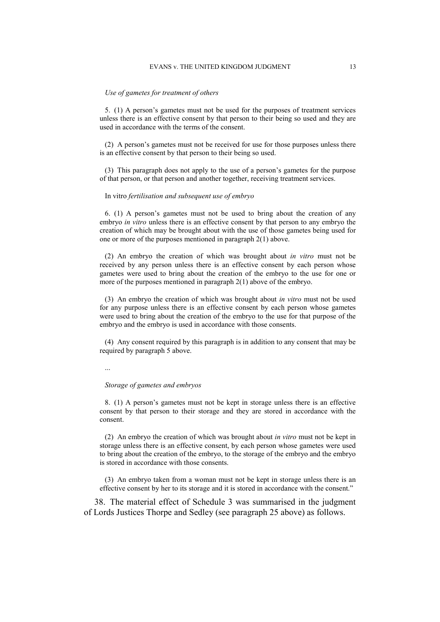#### *Use of gametes for treatment of others*

5. (1) A person's gametes must not be used for the purposes of treatment services unless there is an effective consent by that person to their being so used and they are used in accordance with the terms of the consent.

(2) A person's gametes must not be received for use for those purposes unless there is an effective consent by that person to their being so used.

(3) This paragraph does not apply to the use of a person's gametes for the purpose of that person, or that person and another together, receiving treatment services.

#### In vitro *fertilisation and subsequent use of embryo*

6. (1) A person's gametes must not be used to bring about the creation of any embryo *in vitro* unless there is an effective consent by that person to any embryo the creation of which may be brought about with the use of those gametes being used for one or more of the purposes mentioned in paragraph 2(1) above.

(2) An embryo the creation of which was brought about *in vitro* must not be received by any person unless there is an effective consent by each person whose gametes were used to bring about the creation of the embryo to the use for one or more of the purposes mentioned in paragraph 2(1) above of the embryo.

(3) An embryo the creation of which was brought about *in vitro* must not be used for any purpose unless there is an effective consent by each person whose gametes were used to bring about the creation of the embryo to the use for that purpose of the embryo and the embryo is used in accordance with those consents.

(4) Any consent required by this paragraph is in addition to any consent that may be required by paragraph 5 above.

...

#### *Storage of gametes and embryos*

8. (1) A person's gametes must not be kept in storage unless there is an effective consent by that person to their storage and they are stored in accordance with the consent.

(2) An embryo the creation of which was brought about *in vitro* must not be kept in storage unless there is an effective consent, by each person whose gametes were used to bring about the creation of the embryo, to the storage of the embryo and the embryo is stored in accordance with those consents.

(3) An embryo taken from a woman must not be kept in storage unless there is an effective consent by her to its storage and it is stored in accordance with the consent."

38. The material effect of Schedule 3 was summarised in the judgment of Lords Justices Thorpe and Sedley (see paragraph 25 above) as follows.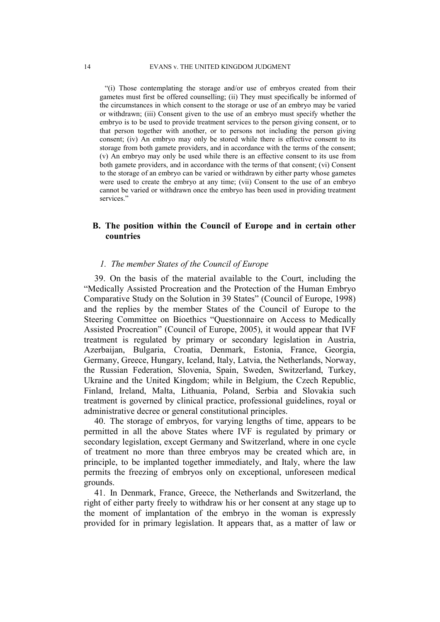"(i) Those contemplating the storage and/or use of embryos created from their gametes must first be offered counselling; (ii) They must specifically be informed of the circumstances in which consent to the storage or use of an embryo may be varied or withdrawn; (iii) Consent given to the use of an embryo must specify whether the embryo is to be used to provide treatment services to the person giving consent, or to that person together with another, or to persons not including the person giving consent; (iv) An embryo may only be stored while there is effective consent to its storage from both gamete providers, and in accordance with the terms of the consent; (v) An embryo may only be used while there is an effective consent to its use from both gamete providers, and in accordance with the terms of that consent; (vi) Consent to the storage of an embryo can be varied or withdrawn by either party whose gametes were used to create the embryo at any time; (vii) Consent to the use of an embryo cannot be varied or withdrawn once the embryo has been used in providing treatment services."

### **B. The position within the Council of Europe and in certain other countries**

### *1. The member States of the Council of Europe*

39. On the basis of the material available to the Court, including the "Medically Assisted Procreation and the Protection of the Human Embryo Comparative Study on the Solution in 39 States" (Council of Europe, 1998) and the replies by the member States of the Council of Europe to the Steering Committee on Bioethics "Questionnaire on Access to Medically Assisted Procreation" (Council of Europe, 2005), it would appear that IVF treatment is regulated by primary or secondary legislation in Austria, Azerbaijan, Bulgaria, Croatia, Denmark, Estonia, France, Georgia, Germany, Greece, Hungary, Iceland, Italy, Latvia, the Netherlands, Norway, the Russian Federation, Slovenia, Spain, Sweden, Switzerland, Turkey, Ukraine and the United Kingdom; while in Belgium, the Czech Republic, Finland, Ireland, Malta, Lithuania, Poland, Serbia and Slovakia such treatment is governed by clinical practice, professional guidelines, royal or administrative decree or general constitutional principles.

40. The storage of embryos, for varying lengths of time, appears to be permitted in all the above States where IVF is regulated by primary or secondary legislation, except Germany and Switzerland, where in one cycle of treatment no more than three embryos may be created which are, in principle, to be implanted together immediately, and Italy, where the law permits the freezing of embryos only on exceptional, unforeseen medical grounds.

41. In Denmark, France, Greece, the Netherlands and Switzerland, the right of either party freely to withdraw his or her consent at any stage up to the moment of implantation of the embryo in the woman is expressly provided for in primary legislation. It appears that, as a matter of law or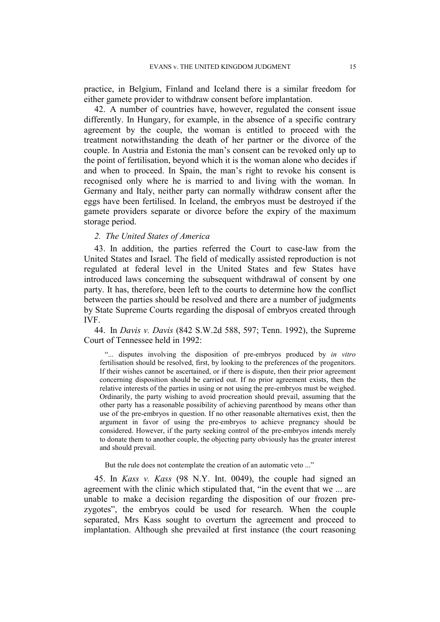practice, in Belgium, Finland and Iceland there is a similar freedom for either gamete provider to withdraw consent before implantation.

42. A number of countries have, however, regulated the consent issue differently. In Hungary, for example, in the absence of a specific contrary agreement by the couple, the woman is entitled to proceed with the treatment notwithstanding the death of her partner or the divorce of the couple. In Austria and Estonia the man's consent can be revoked only up to the point of fertilisation, beyond which it is the woman alone who decides if and when to proceed. In Spain, the man's right to revoke his consent is recognised only where he is married to and living with the woman. In Germany and Italy, neither party can normally withdraw consent after the eggs have been fertilised. In Iceland, the embryos must be destroyed if the gamete providers separate or divorce before the expiry of the maximum storage period.

#### *2. The United States of America*

43. In addition, the parties referred the Court to case-law from the United States and Israel. The field of medically assisted reproduction is not regulated at federal level in the United States and few States have introduced laws concerning the subsequent withdrawal of consent by one party. It has, therefore, been left to the courts to determine how the conflict between the parties should be resolved and there are a number of judgments by State Supreme Courts regarding the disposal of embryos created through IVF.

44. In *Davis v. Davis* (842 S.W.2d 588, 597; Tenn. 1992), the Supreme Court of Tennessee held in 1992:

"... disputes involving the disposition of pre-embryos produced by *in vitro* fertilisation should be resolved, first, by looking to the preferences of the progenitors. If their wishes cannot be ascertained, or if there is dispute, then their prior agreement concerning disposition should be carried out. If no prior agreement exists, then the relative interests of the parties in using or not using the pre-embryos must be weighed. Ordinarily, the party wishing to avoid procreation should prevail, assuming that the other party has a reasonable possibility of achieving parenthood by means other than use of the pre-embryos in question. If no other reasonable alternatives exist, then the argument in favor of using the pre-embryos to achieve pregnancy should be considered. However, if the party seeking control of the pre-embryos intends merely to donate them to another couple, the objecting party obviously has the greater interest and should prevail.

But the rule does not contemplate the creation of an automatic veto ..."

45. In *Kass v. Kass* (98 N.Y. Int. 0049), the couple had signed an agreement with the clinic which stipulated that, "in the event that we ... are unable to make a decision regarding the disposition of our frozen prezygotes", the embryos could be used for research. When the couple separated, Mrs Kass sought to overturn the agreement and proceed to implantation. Although she prevailed at first instance (the court reasoning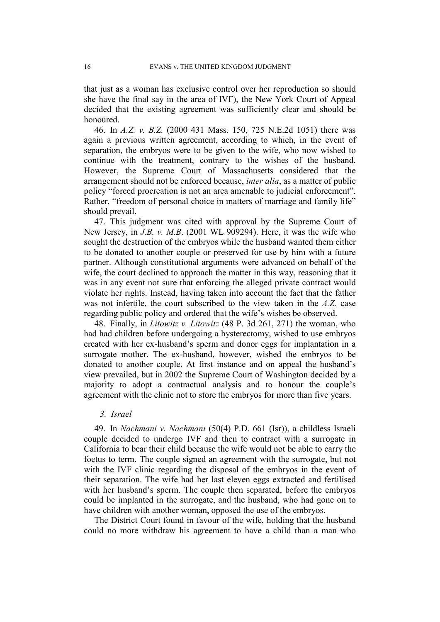that just as a woman has exclusive control over her reproduction so should she have the final say in the area of IVF), the New York Court of Appeal decided that the existing agreement was sufficiently clear and should be honoured.

46. In *A.Z. v. B.Z.* (2000 431 Mass. 150, 725 N.E.2d 1051) there was again a previous written agreement, according to which, in the event of separation, the embryos were to be given to the wife, who now wished to continue with the treatment, contrary to the wishes of the husband. However, the Supreme Court of Massachusetts considered that the arrangement should not be enforced because, *inter alia*, as a matter of public policy "forced procreation is not an area amenable to judicial enforcement". Rather, "freedom of personal choice in matters of marriage and family life" should prevail.

47. This judgment was cited with approval by the Supreme Court of New Jersey, in *J.B. v. M.B*. (2001 WL 909294). Here, it was the wife who sought the destruction of the embryos while the husband wanted them either to be donated to another couple or preserved for use by him with a future partner. Although constitutional arguments were advanced on behalf of the wife, the court declined to approach the matter in this way, reasoning that it was in any event not sure that enforcing the alleged private contract would violate her rights. Instead, having taken into account the fact that the father was not infertile, the court subscribed to the view taken in the *A.Z.* case regarding public policy and ordered that the wife's wishes be observed.

48. Finally, in *Litowitz v. Litowitz* (48 P. 3d 261, 271) the woman, who had had children before undergoing a hysterectomy, wished to use embryos created with her ex-husband's sperm and donor eggs for implantation in a surrogate mother. The ex-husband, however, wished the embryos to be donated to another couple. At first instance and on appeal the husband's view prevailed, but in 2002 the Supreme Court of Washington decided by a majority to adopt a contractual analysis and to honour the couple's agreement with the clinic not to store the embryos for more than five years.

#### *3. Israel*

49. In *Nachmani v. Nachmani* (50(4) P.D. 661 (Isr)), a childless Israeli couple decided to undergo IVF and then to contract with a surrogate in California to bear their child because the wife would not be able to carry the foetus to term. The couple signed an agreement with the surrogate, but not with the IVF clinic regarding the disposal of the embryos in the event of their separation. The wife had her last eleven eggs extracted and fertilised with her husband's sperm. The couple then separated, before the embryos could be implanted in the surrogate, and the husband, who had gone on to have children with another woman, opposed the use of the embryos.

The District Court found in favour of the wife, holding that the husband could no more withdraw his agreement to have a child than a man who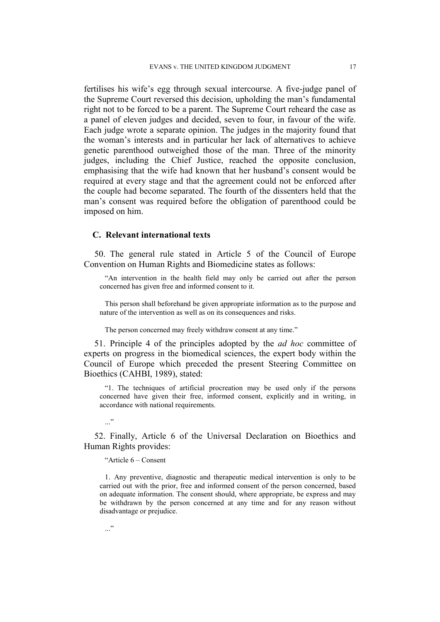fertilises his wife's egg through sexual intercourse. A five-judge panel of the Supreme Court reversed this decision, upholding the man's fundamental right not to be forced to be a parent. The Supreme Court reheard the case as a panel of eleven judges and decided, seven to four, in favour of the wife. Each judge wrote a separate opinion. The judges in the majority found that the woman's interests and in particular her lack of alternatives to achieve genetic parenthood outweighed those of the man. Three of the minority judges, including the Chief Justice, reached the opposite conclusion, emphasising that the wife had known that her husband's consent would be required at every stage and that the agreement could not be enforced after the couple had become separated. The fourth of the dissenters held that the man's consent was required before the obligation of parenthood could be imposed on him.

#### **C. Relevant international texts**

50. The general rule stated in Article 5 of the Council of Europe Convention on Human Rights and Biomedicine states as follows:

"An intervention in the health field may only be carried out after the person concerned has given free and informed consent to it.

This person shall beforehand be given appropriate information as to the purpose and nature of the intervention as well as on its consequences and risks.

The person concerned may freely withdraw consent at any time."

51. Principle 4 of the principles adopted by the *ad hoc* committee of experts on progress in the biomedical sciences, the expert body within the Council of Europe which preceded the present Steering Committee on Bioethics (CAHBI, 1989), stated:

"1. The techniques of artificial procreation may be used only if the persons concerned have given their free, informed consent, explicitly and in writing, in accordance with national requirements.

 $\ddots$ "

52. Finally, Article 6 of the Universal Declaration on Bioethics and Human Rights provides:

"Article 6 – Consent

1. Any preventive, diagnostic and therapeutic medical intervention is only to be carried out with the prior, free and informed consent of the person concerned, based on adequate information. The consent should, where appropriate, be express and may be withdrawn by the person concerned at any time and for any reason without disadvantage or prejudice.

 $\cdot$ ..."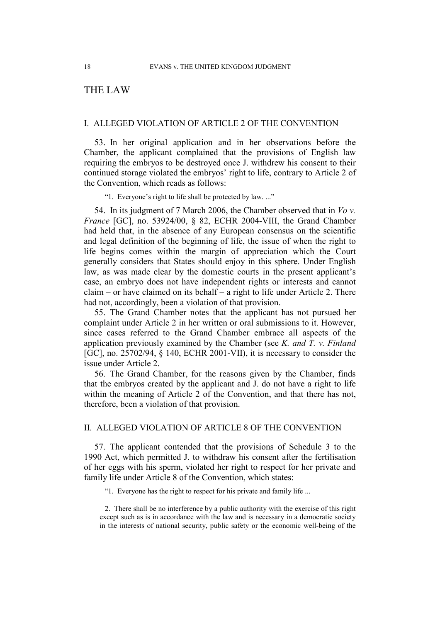# THE LAW

### I. ALLEGED VIOLATION OF ARTICLE 2 OF THE CONVENTION

53. In her original application and in her observations before the Chamber, the applicant complained that the provisions of English law requiring the embryos to be destroyed once J. withdrew his consent to their continued storage violated the embryos' right to life, contrary to Article 2 of the Convention, which reads as follows:

"1. Everyone's right to life shall be protected by law. ..."

54. In its judgment of 7 March 2006, the Chamber observed that in *Vo v. France* [GC], no. 53924/00, § 82, ECHR 2004-VIII, the Grand Chamber had held that, in the absence of any European consensus on the scientific and legal definition of the beginning of life, the issue of when the right to life begins comes within the margin of appreciation which the Court generally considers that States should enjoy in this sphere. Under English law, as was made clear by the domestic courts in the present applicant's case, an embryo does not have independent rights or interests and cannot claim – or have claimed on its behalf – a right to life under Article 2. There had not, accordingly, been a violation of that provision.

55. The Grand Chamber notes that the applicant has not pursued her complaint under Article 2 in her written or oral submissions to it. However, since cases referred to the Grand Chamber embrace all aspects of the application previously examined by the Chamber (see *K. and T. v. Finland*  [GC], no. 25702/94, § 140, ECHR 2001-VII), it is necessary to consider the issue under Article 2.

56. The Grand Chamber, for the reasons given by the Chamber, finds that the embryos created by the applicant and J. do not have a right to life within the meaning of Article 2 of the Convention, and that there has not, therefore, been a violation of that provision.

### II. ALLEGED VIOLATION OF ARTICLE 8 OF THE CONVENTION

57. The applicant contended that the provisions of Schedule 3 to the 1990 Act, which permitted J. to withdraw his consent after the fertilisation of her eggs with his sperm, violated her right to respect for her private and family life under Article 8 of the Convention, which states:

"1. Everyone has the right to respect for his private and family life ...

2. There shall be no interference by a public authority with the exercise of this right except such as is in accordance with the law and is necessary in a democratic society in the interests of national security, public safety or the economic well-being of the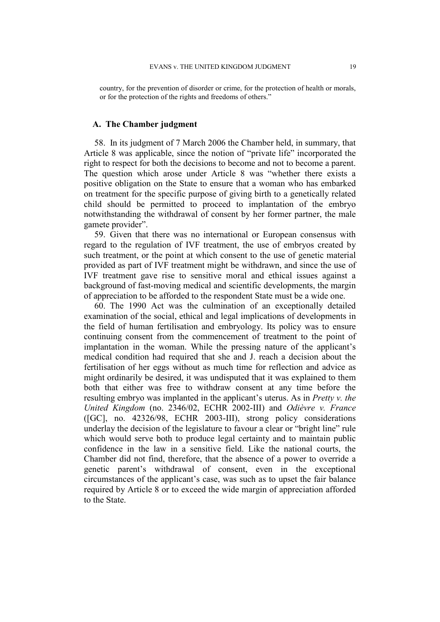country, for the prevention of disorder or crime, for the protection of health or morals, or for the protection of the rights and freedoms of others."

#### **A. The Chamber judgment**

58. In its judgment of 7 March 2006 the Chamber held, in summary, that Article 8 was applicable, since the notion of "private life" incorporated the right to respect for both the decisions to become and not to become a parent. The question which arose under Article 8 was "whether there exists a positive obligation on the State to ensure that a woman who has embarked on treatment for the specific purpose of giving birth to a genetically related child should be permitted to proceed to implantation of the embryo notwithstanding the withdrawal of consent by her former partner, the male gamete provider".

59. Given that there was no international or European consensus with regard to the regulation of IVF treatment, the use of embryos created by such treatment, or the point at which consent to the use of genetic material provided as part of IVF treatment might be withdrawn, and since the use of IVF treatment gave rise to sensitive moral and ethical issues against a background of fast-moving medical and scientific developments, the margin of appreciation to be afforded to the respondent State must be a wide one.

60. The 1990 Act was the culmination of an exceptionally detailed examination of the social, ethical and legal implications of developments in the field of human fertilisation and embryology. Its policy was to ensure continuing consent from the commencement of treatment to the point of implantation in the woman. While the pressing nature of the applicant's medical condition had required that she and J. reach a decision about the fertilisation of her eggs without as much time for reflection and advice as might ordinarily be desired, it was undisputed that it was explained to them both that either was free to withdraw consent at any time before the resulting embryo was implanted in the applicant's uterus. As in *Pretty v. the United Kingdom* (no. 2346/02, ECHR 2002-III) and *Odièvre v. France* ([GC], no. 42326/98, ECHR 2003-III), strong policy considerations underlay the decision of the legislature to favour a clear or "bright line" rule which would serve both to produce legal certainty and to maintain public confidence in the law in a sensitive field. Like the national courts, the Chamber did not find, therefore, that the absence of a power to override a genetic parent's withdrawal of consent, even in the exceptional circumstances of the applicant's case, was such as to upset the fair balance required by Article 8 or to exceed the wide margin of appreciation afforded to the State.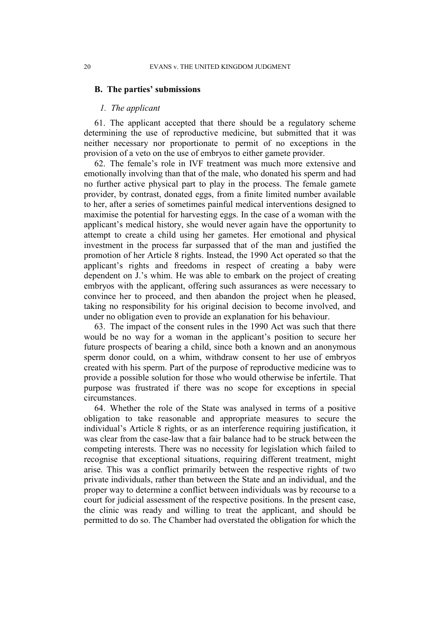#### **B. The parties' submissions**

#### *1. The applicant*

61. The applicant accepted that there should be a regulatory scheme determining the use of reproductive medicine, but submitted that it was neither necessary nor proportionate to permit of no exceptions in the provision of a veto on the use of embryos to either gamete provider.

62. The female's role in IVF treatment was much more extensive and emotionally involving than that of the male, who donated his sperm and had no further active physical part to play in the process. The female gamete provider, by contrast, donated eggs, from a finite limited number available to her, after a series of sometimes painful medical interventions designed to maximise the potential for harvesting eggs. In the case of a woman with the applicant's medical history, she would never again have the opportunity to attempt to create a child using her gametes. Her emotional and physical investment in the process far surpassed that of the man and justified the promotion of her Article 8 rights. Instead, the 1990 Act operated so that the applicant's rights and freedoms in respect of creating a baby were dependent on J.'s whim. He was able to embark on the project of creating embryos with the applicant, offering such assurances as were necessary to convince her to proceed, and then abandon the project when he pleased, taking no responsibility for his original decision to become involved, and under no obligation even to provide an explanation for his behaviour.

63. The impact of the consent rules in the 1990 Act was such that there would be no way for a woman in the applicant's position to secure her future prospects of bearing a child, since both a known and an anonymous sperm donor could, on a whim, withdraw consent to her use of embryos created with his sperm. Part of the purpose of reproductive medicine was to provide a possible solution for those who would otherwise be infertile. That purpose was frustrated if there was no scope for exceptions in special circumstances.

64. Whether the role of the State was analysed in terms of a positive obligation to take reasonable and appropriate measures to secure the individual's Article 8 rights, or as an interference requiring justification, it was clear from the case-law that a fair balance had to be struck between the competing interests. There was no necessity for legislation which failed to recognise that exceptional situations, requiring different treatment, might arise. This was a conflict primarily between the respective rights of two private individuals, rather than between the State and an individual, and the proper way to determine a conflict between individuals was by recourse to a court for judicial assessment of the respective positions. In the present case, the clinic was ready and willing to treat the applicant, and should be permitted to do so. The Chamber had overstated the obligation for which the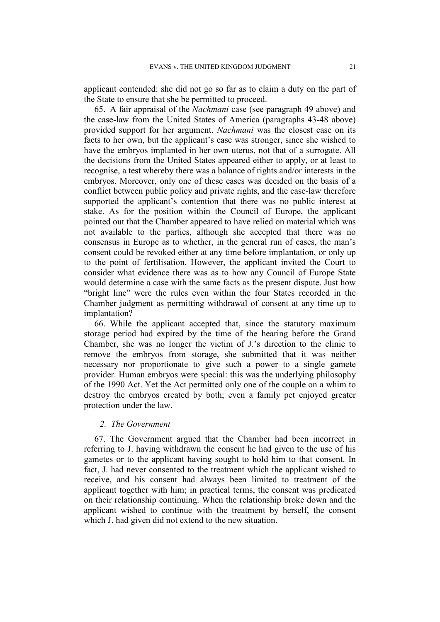applicant contended: she did not go so far as to claim a duty on the part of the State to ensure that she be permitted to proceed.

65. A fair appraisal of the *Nachmani* case (see paragraph 49 above) and the case-law from the United States of America (paragraphs 43-48 above) provided support for her argument. *Nachmani* was the closest case on its facts to her own, but the applicant's case was stronger, since she wished to have the embryos implanted in her own uterus, not that of a surrogate. All the decisions from the United States appeared either to apply, or at least to recognise, a test whereby there was a balance of rights and/or interests in the embryos. Moreover, only one of these cases was decided on the basis of a conflict between public policy and private rights, and the case-law therefore supported the applicant's contention that there was no public interest at stake. As for the position within the Council of Europe, the applicant pointed out that the Chamber appeared to have relied on material which was not available to the parties, although she accepted that there was no consensus in Europe as to whether, in the general run of cases, the man's consent could be revoked either at any time before implantation, or only up to the point of fertilisation. However, the applicant invited the Court to consider what evidence there was as to how any Council of Europe State would determine a case with the same facts as the present dispute. Just how "bright line" were the rules even within the four States recorded in the Chamber judgment as permitting withdrawal of consent at any time up to implantation?

66. While the applicant accepted that, since the statutory maximum storage period had expired by the time of the hearing before the Grand Chamber, she was no longer the victim of J.'s direction to the clinic to remove the embryos from storage, she submitted that it was neither necessary nor proportionate to give such a power to a single gamete provider. Human embryos were special: this was the underlying philosophy of the 1990 Act. Yet the Act permitted only one of the couple on a whim to destroy the embryos created by both; even a family pet enjoyed greater protection under the law.

### *2. The Government*

67. The Government argued that the Chamber had been incorrect in referring to J. having withdrawn the consent he had given to the use of his gametes or to the applicant having sought to hold him to that consent. In fact, J. had never consented to the treatment which the applicant wished to receive, and his consent had always been limited to treatment of the applicant together with him; in practical terms, the consent was predicated on their relationship continuing. When the relationship broke down and the applicant wished to continue with the treatment by herself, the consent which J. had given did not extend to the new situation.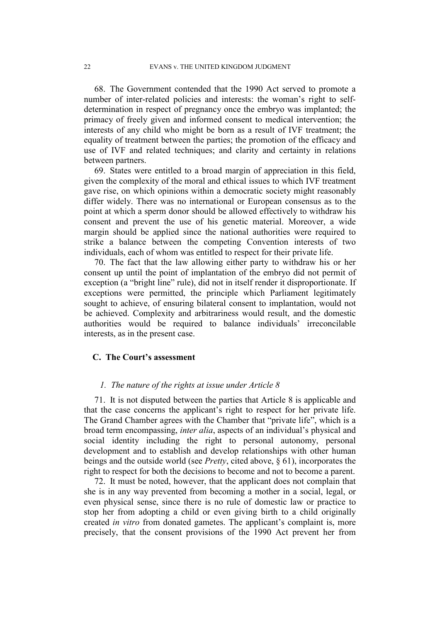68. The Government contended that the 1990 Act served to promote a number of inter-related policies and interests: the woman's right to selfdetermination in respect of pregnancy once the embryo was implanted; the primacy of freely given and informed consent to medical intervention; the interests of any child who might be born as a result of IVF treatment; the equality of treatment between the parties; the promotion of the efficacy and use of IVF and related techniques; and clarity and certainty in relations between partners.

69. States were entitled to a broad margin of appreciation in this field, given the complexity of the moral and ethical issues to which IVF treatment gave rise, on which opinions within a democratic society might reasonably differ widely. There was no international or European consensus as to the point at which a sperm donor should be allowed effectively to withdraw his consent and prevent the use of his genetic material. Moreover, a wide margin should be applied since the national authorities were required to strike a balance between the competing Convention interests of two individuals, each of whom was entitled to respect for their private life.

70. The fact that the law allowing either party to withdraw his or her consent up until the point of implantation of the embryo did not permit of exception (a "bright line" rule), did not in itself render it disproportionate. If exceptions were permitted, the principle which Parliament legitimately sought to achieve, of ensuring bilateral consent to implantation, would not be achieved. Complexity and arbitrariness would result, and the domestic authorities would be required to balance individuals' irreconcilable interests, as in the present case.

#### **C. The Court's assessment**

### *1. The nature of the rights at issue under Article 8*

71. It is not disputed between the parties that Article 8 is applicable and that the case concerns the applicant's right to respect for her private life. The Grand Chamber agrees with the Chamber that "private life", which is a broad term encompassing, *inter alia*, aspects of an individual's physical and social identity including the right to personal autonomy, personal development and to establish and develop relationships with other human beings and the outside world (see *Pretty*, cited above, § 61), incorporates the right to respect for both the decisions to become and not to become a parent.

72. It must be noted, however, that the applicant does not complain that she is in any way prevented from becoming a mother in a social, legal, or even physical sense, since there is no rule of domestic law or practice to stop her from adopting a child or even giving birth to a child originally created *in vitro* from donated gametes. The applicant's complaint is, more precisely, that the consent provisions of the 1990 Act prevent her from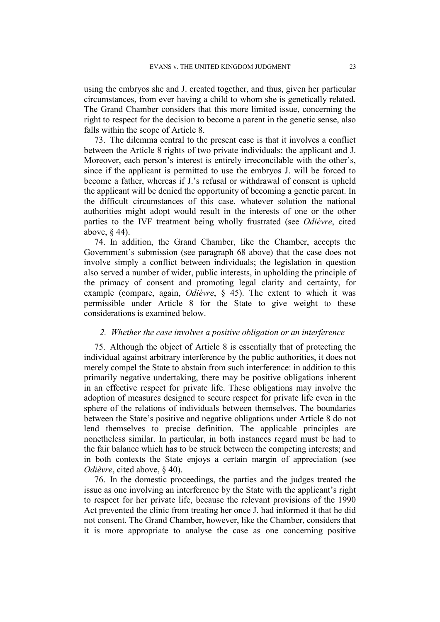using the embryos she and J. created together, and thus, given her particular circumstances, from ever having a child to whom she is genetically related. The Grand Chamber considers that this more limited issue, concerning the right to respect for the decision to become a parent in the genetic sense, also falls within the scope of Article 8.

73. The dilemma central to the present case is that it involves a conflict between the Article 8 rights of two private individuals: the applicant and J. Moreover, each person's interest is entirely irreconcilable with the other's, since if the applicant is permitted to use the embryos J. will be forced to become a father, whereas if J.'s refusal or withdrawal of consent is upheld the applicant will be denied the opportunity of becoming a genetic parent. In the difficult circumstances of this case, whatever solution the national authorities might adopt would result in the interests of one or the other parties to the IVF treatment being wholly frustrated (see *Odièvre*, cited above, § 44).

74. In addition, the Grand Chamber, like the Chamber, accepts the Government's submission (see paragraph 68 above) that the case does not involve simply a conflict between individuals; the legislation in question also served a number of wider, public interests, in upholding the principle of the primacy of consent and promoting legal clarity and certainty, for example (compare, again, *Odièvre*, § 45). The extent to which it was permissible under Article 8 for the State to give weight to these considerations is examined below.

#### *2. Whether the case involves a positive obligation or an interference*

75. Although the object of Article 8 is essentially that of protecting the individual against arbitrary interference by the public authorities, it does not merely compel the State to abstain from such interference: in addition to this primarily negative undertaking, there may be positive obligations inherent in an effective respect for private life. These obligations may involve the adoption of measures designed to secure respect for private life even in the sphere of the relations of individuals between themselves. The boundaries between the State's positive and negative obligations under Article 8 do not lend themselves to precise definition. The applicable principles are nonetheless similar. In particular, in both instances regard must be had to the fair balance which has to be struck between the competing interests; and in both contexts the State enjoys a certain margin of appreciation (see *Odièvre*, cited above, § 40).

76. In the domestic proceedings, the parties and the judges treated the issue as one involving an interference by the State with the applicant's right to respect for her private life, because the relevant provisions of the 1990 Act prevented the clinic from treating her once J. had informed it that he did not consent. The Grand Chamber, however, like the Chamber, considers that it is more appropriate to analyse the case as one concerning positive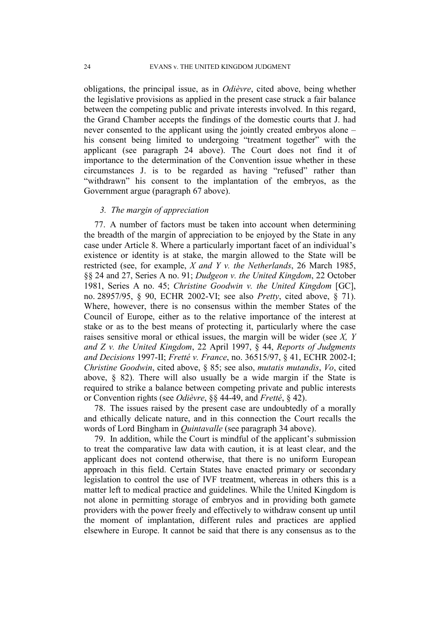obligations, the principal issue, as in *Odièvre*, cited above, being whether the legislative provisions as applied in the present case struck a fair balance between the competing public and private interests involved. In this regard, the Grand Chamber accepts the findings of the domestic courts that J. had never consented to the applicant using the jointly created embryos alone – his consent being limited to undergoing "treatment together" with the applicant (see paragraph 24 above). The Court does not find it of importance to the determination of the Convention issue whether in these circumstances J. is to be regarded as having "refused" rather than "withdrawn" his consent to the implantation of the embryos, as the Government argue (paragraph 67 above).

### *3. The margin of appreciation*

77. A number of factors must be taken into account when determining the breadth of the margin of appreciation to be enjoyed by the State in any case under Article 8. Where a particularly important facet of an individual's existence or identity is at stake, the margin allowed to the State will be restricted (see, for example, *X and Y v. the Netherlands*, 26 March 1985, §§ 24 and 27, Series A no. 91; *Dudgeon v. the United Kingdom*, 22 October 1981, Series A no. 45; *Christine Goodwin v. the United Kingdom* [GC], no. 28957/95, § 90, ECHR 2002-VI; see also *Pretty*, cited above, § 71). Where, however, there is no consensus within the member States of the Council of Europe, either as to the relative importance of the interest at stake or as to the best means of protecting it, particularly where the case raises sensitive moral or ethical issues, the margin will be wider (see *X, Y and Z v. the United Kingdom*, 22 April 1997, § 44, *Reports of Judgments and Decisions* 1997-II; *Fretté v. France*, no. 36515/97, § 41, ECHR 2002-I; *Christine Goodwin*, cited above, § 85; see also, *mutatis mutandis*, *Vo*, cited above,  $\S$  82). There will also usually be a wide margin if the State is required to strike a balance between competing private and public interests or Convention rights (see *Odièvre*, §§ 44-49, and *Fretté*, § 42).

78. The issues raised by the present case are undoubtedly of a morally and ethically delicate nature, and in this connection the Court recalls the words of Lord Bingham in *Quintavalle* (see paragraph 34 above).

79. In addition, while the Court is mindful of the applicant's submission to treat the comparative law data with caution, it is at least clear, and the applicant does not contend otherwise, that there is no uniform European approach in this field. Certain States have enacted primary or secondary legislation to control the use of IVF treatment, whereas in others this is a matter left to medical practice and guidelines. While the United Kingdom is not alone in permitting storage of embryos and in providing both gamete providers with the power freely and effectively to withdraw consent up until the moment of implantation, different rules and practices are applied elsewhere in Europe. It cannot be said that there is any consensus as to the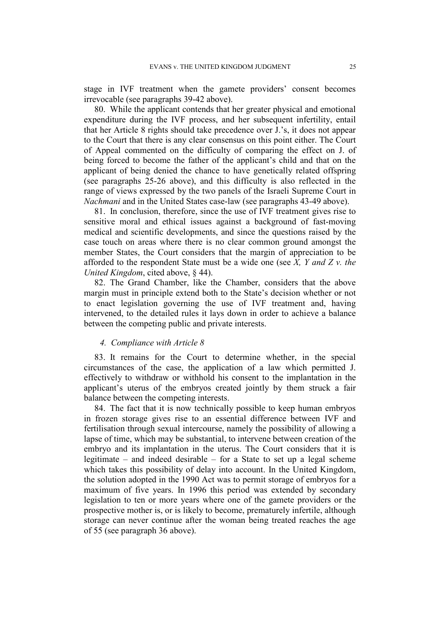stage in IVF treatment when the gamete providers' consent becomes irrevocable (see paragraphs 39-42 above).

80. While the applicant contends that her greater physical and emotional expenditure during the IVF process, and her subsequent infertility, entail that her Article 8 rights should take precedence over J.'s, it does not appear to the Court that there is any clear consensus on this point either. The Court of Appeal commented on the difficulty of comparing the effect on J. of being forced to become the father of the applicant's child and that on the applicant of being denied the chance to have genetically related offspring (see paragraphs 25-26 above), and this difficulty is also reflected in the range of views expressed by the two panels of the Israeli Supreme Court in *Nachmani* and in the United States case-law (see paragraphs 43-49 above).

81. In conclusion, therefore, since the use of IVF treatment gives rise to sensitive moral and ethical issues against a background of fast-moving medical and scientific developments, and since the questions raised by the case touch on areas where there is no clear common ground amongst the member States, the Court considers that the margin of appreciation to be afforded to the respondent State must be a wide one (see *X, Y and Z v. the United Kingdom*, cited above, § 44).

82. The Grand Chamber, like the Chamber, considers that the above margin must in principle extend both to the State's decision whether or not to enact legislation governing the use of IVF treatment and, having intervened, to the detailed rules it lays down in order to achieve a balance between the competing public and private interests.

### *4. Compliance with Article 8*

83. It remains for the Court to determine whether, in the special circumstances of the case, the application of a law which permitted J. effectively to withdraw or withhold his consent to the implantation in the applicant's uterus of the embryos created jointly by them struck a fair balance between the competing interests.

84. The fact that it is now technically possible to keep human embryos in frozen storage gives rise to an essential difference between IVF and fertilisation through sexual intercourse, namely the possibility of allowing a lapse of time, which may be substantial, to intervene between creation of the embryo and its implantation in the uterus. The Court considers that it is legitimate – and indeed desirable – for a State to set up a legal scheme which takes this possibility of delay into account. In the United Kingdom, the solution adopted in the 1990 Act was to permit storage of embryos for a maximum of five years. In 1996 this period was extended by secondary legislation to ten or more years where one of the gamete providers or the prospective mother is, or is likely to become, prematurely infertile, although storage can never continue after the woman being treated reaches the age of 55 (see paragraph 36 above).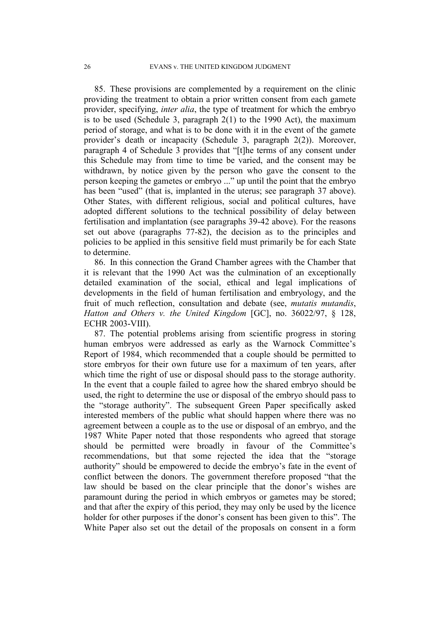85. These provisions are complemented by a requirement on the clinic providing the treatment to obtain a prior written consent from each gamete provider, specifying, *inter alia*, the type of treatment for which the embryo is to be used (Schedule 3, paragraph 2(1) to the 1990 Act), the maximum period of storage, and what is to be done with it in the event of the gamete provider's death or incapacity (Schedule 3, paragraph 2(2)). Moreover, paragraph 4 of Schedule 3 provides that "[t]he terms of any consent under this Schedule may from time to time be varied, and the consent may be withdrawn, by notice given by the person who gave the consent to the person keeping the gametes or embryo ..." up until the point that the embryo has been "used" (that is, implanted in the uterus; see paragraph 37 above). Other States, with different religious, social and political cultures, have adopted different solutions to the technical possibility of delay between fertilisation and implantation (see paragraphs 39-42 above). For the reasons set out above (paragraphs 77-82), the decision as to the principles and policies to be applied in this sensitive field must primarily be for each State to determine.

86. In this connection the Grand Chamber agrees with the Chamber that it is relevant that the 1990 Act was the culmination of an exceptionally detailed examination of the social, ethical and legal implications of developments in the field of human fertilisation and embryology, and the fruit of much reflection, consultation and debate (see, *mutatis mutandis*, *Hatton and Others v. the United Kingdom* [GC], no. 36022/97, § 128, ECHR 2003-VIII).

87. The potential problems arising from scientific progress in storing human embryos were addressed as early as the Warnock Committee's Report of 1984, which recommended that a couple should be permitted to store embryos for their own future use for a maximum of ten years, after which time the right of use or disposal should pass to the storage authority. In the event that a couple failed to agree how the shared embryo should be used, the right to determine the use or disposal of the embryo should pass to the "storage authority". The subsequent Green Paper specifically asked interested members of the public what should happen where there was no agreement between a couple as to the use or disposal of an embryo, and the 1987 White Paper noted that those respondents who agreed that storage should be permitted were broadly in favour of the Committee's recommendations, but that some rejected the idea that the "storage authority" should be empowered to decide the embryo's fate in the event of conflict between the donors. The government therefore proposed "that the law should be based on the clear principle that the donor's wishes are paramount during the period in which embryos or gametes may be stored; and that after the expiry of this period, they may only be used by the licence holder for other purposes if the donor's consent has been given to this". The White Paper also set out the detail of the proposals on consent in a form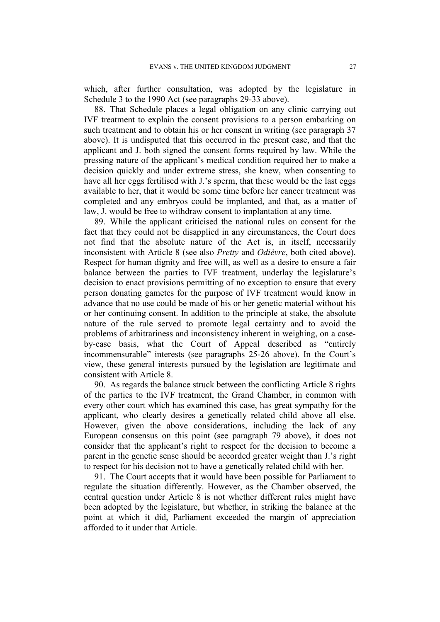which, after further consultation, was adopted by the legislature in Schedule 3 to the 1990 Act (see paragraphs 29-33 above).

88. That Schedule places a legal obligation on any clinic carrying out IVF treatment to explain the consent provisions to a person embarking on such treatment and to obtain his or her consent in writing (see paragraph 37 above). It is undisputed that this occurred in the present case, and that the applicant and J. both signed the consent forms required by law. While the pressing nature of the applicant's medical condition required her to make a decision quickly and under extreme stress, she knew, when consenting to have all her eggs fertilised with J.'s sperm, that these would be the last eggs available to her, that it would be some time before her cancer treatment was completed and any embryos could be implanted, and that, as a matter of law, J. would be free to withdraw consent to implantation at any time.

89. While the applicant criticised the national rules on consent for the fact that they could not be disapplied in any circumstances, the Court does not find that the absolute nature of the Act is, in itself, necessarily inconsistent with Article 8 (see also *Pretty* and *Odièvre*, both cited above). Respect for human dignity and free will, as well as a desire to ensure a fair balance between the parties to IVF treatment, underlay the legislature's decision to enact provisions permitting of no exception to ensure that every person donating gametes for the purpose of IVF treatment would know in advance that no use could be made of his or her genetic material without his or her continuing consent. In addition to the principle at stake, the absolute nature of the rule served to promote legal certainty and to avoid the problems of arbitrariness and inconsistency inherent in weighing, on a caseby-case basis, what the Court of Appeal described as "entirely incommensurable" interests (see paragraphs 25-26 above). In the Court's view, these general interests pursued by the legislation are legitimate and consistent with Article 8.

90. As regards the balance struck between the conflicting Article 8 rights of the parties to the IVF treatment, the Grand Chamber, in common with every other court which has examined this case, has great sympathy for the applicant, who clearly desires a genetically related child above all else. However, given the above considerations, including the lack of any European consensus on this point (see paragraph 79 above), it does not consider that the applicant's right to respect for the decision to become a parent in the genetic sense should be accorded greater weight than J.'s right to respect for his decision not to have a genetically related child with her.

91. The Court accepts that it would have been possible for Parliament to regulate the situation differently. However, as the Chamber observed, the central question under Article 8 is not whether different rules might have been adopted by the legislature, but whether, in striking the balance at the point at which it did, Parliament exceeded the margin of appreciation afforded to it under that Article.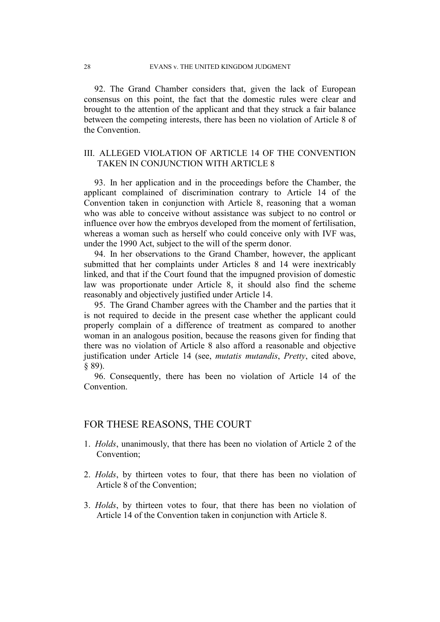92. The Grand Chamber considers that, given the lack of European consensus on this point, the fact that the domestic rules were clear and brought to the attention of the applicant and that they struck a fair balance between the competing interests, there has been no violation of Article 8 of the Convention.

## III. ALLEGED VIOLATION OF ARTICLE 14 OF THE CONVENTION TAKEN IN CONJUNCTION WITH ARTICLE 8

93. In her application and in the proceedings before the Chamber, the applicant complained of discrimination contrary to Article 14 of the Convention taken in conjunction with Article 8, reasoning that a woman who was able to conceive without assistance was subject to no control or influence over how the embryos developed from the moment of fertilisation, whereas a woman such as herself who could conceive only with IVF was, under the 1990 Act, subject to the will of the sperm donor.

94. In her observations to the Grand Chamber, however, the applicant submitted that her complaints under Articles 8 and 14 were inextricably linked, and that if the Court found that the impugned provision of domestic law was proportionate under Article 8, it should also find the scheme reasonably and objectively justified under Article 14.

95. The Grand Chamber agrees with the Chamber and the parties that it is not required to decide in the present case whether the applicant could properly complain of a difference of treatment as compared to another woman in an analogous position, because the reasons given for finding that there was no violation of Article 8 also afford a reasonable and objective justification under Article 14 (see, *mutatis mutandis*, *Pretty*, cited above, § 89).

96. Consequently, there has been no violation of Article 14 of the **Convention** 

# FOR THESE REASONS, THE COURT

- 1. *Holds*, unanimously, that there has been no violation of Article 2 of the Convention;
- 2. *Holds*, by thirteen votes to four, that there has been no violation of Article 8 of the Convention;
- 3. *Holds*, by thirteen votes to four, that there has been no violation of Article 14 of the Convention taken in conjunction with Article 8.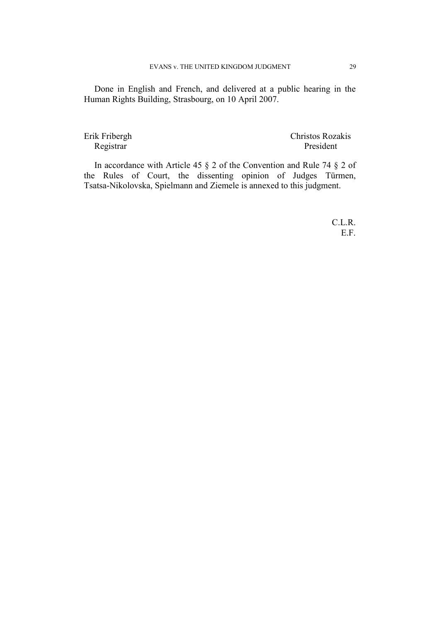Done in English and French, and delivered at a public hearing in the Human Rights Building, Strasbourg, on 10 April 2007.

Erik Fribergh Christos Rozakis Registrar President

In accordance with Article 45 § 2 of the Convention and Rule 74 § 2 of the Rules of Court, the dissenting opinion of Judges Türmen, Tsatsa-Nikolovska, Spielmann and Ziemele is annexed to this judgment.

> C.L.R. E.F.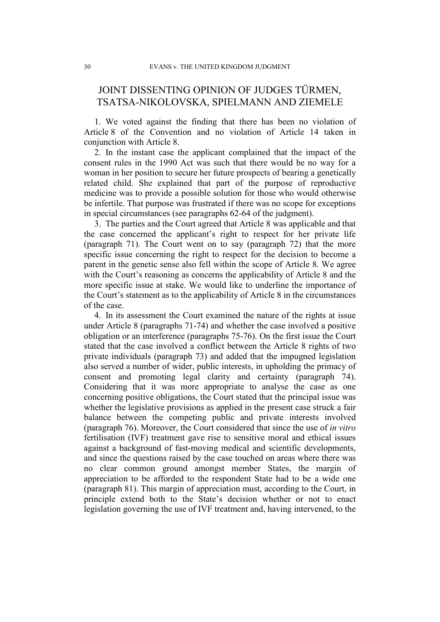# JOINT DISSENTING OPINION OF JUDGES TÜRMEN, TSATSA-NIKOLOVSKA, SPIELMANN AND ZIEMELE

1. We voted against the finding that there has been no violation of Article 8 of the Convention and no violation of Article 14 taken in conjunction with Article 8.

2. In the instant case the applicant complained that the impact of the consent rules in the 1990 Act was such that there would be no way for a woman in her position to secure her future prospects of bearing a genetically related child. She explained that part of the purpose of reproductive medicine was to provide a possible solution for those who would otherwise be infertile. That purpose was frustrated if there was no scope for exceptions in special circumstances (see paragraphs 62-64 of the judgment).

3. The parties and the Court agreed that Article 8 was applicable and that the case concerned the applicant's right to respect for her private life (paragraph 71). The Court went on to say (paragraph 72) that the more specific issue concerning the right to respect for the decision to become a parent in the genetic sense also fell within the scope of Article 8. We agree with the Court's reasoning as concerns the applicability of Article 8 and the more specific issue at stake. We would like to underline the importance of the Court's statement as to the applicability of Article 8 in the circumstances of the case.

4. In its assessment the Court examined the nature of the rights at issue under Article 8 (paragraphs 71-74) and whether the case involved a positive obligation or an interference (paragraphs 75-76). On the first issue the Court stated that the case involved a conflict between the Article 8 rights of two private individuals (paragraph 73) and added that the impugned legislation also served a number of wider, public interests, in upholding the primacy of consent and promoting legal clarity and certainty (paragraph 74). Considering that it was more appropriate to analyse the case as one concerning positive obligations, the Court stated that the principal issue was whether the legislative provisions as applied in the present case struck a fair balance between the competing public and private interests involved (paragraph 76). Moreover, the Court considered that since the use of *in vitro* fertilisation (IVF) treatment gave rise to sensitive moral and ethical issues against a background of fast-moving medical and scientific developments, and since the questions raised by the case touched on areas where there was no clear common ground amongst member States, the margin of appreciation to be afforded to the respondent State had to be a wide one (paragraph 81). This margin of appreciation must, according to the Court, in principle extend both to the State's decision whether or not to enact legislation governing the use of IVF treatment and, having intervened, to the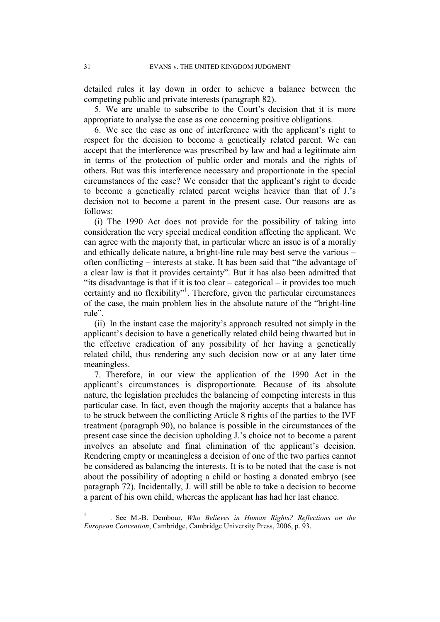detailed rules it lay down in order to achieve a balance between the competing public and private interests (paragraph 82).

5. We are unable to subscribe to the Court's decision that it is more appropriate to analyse the case as one concerning positive obligations.

6. We see the case as one of interference with the applicant's right to respect for the decision to become a genetically related parent. We can accept that the interference was prescribed by law and had a legitimate aim in terms of the protection of public order and morals and the rights of others. But was this interference necessary and proportionate in the special circumstances of the case? We consider that the applicant's right to decide to become a genetically related parent weighs heavier than that of J.'s decision not to become a parent in the present case. Our reasons are as follows:

(i) The 1990 Act does not provide for the possibility of taking into consideration the very special medical condition affecting the applicant. We can agree with the majority that, in particular where an issue is of a morally and ethically delicate nature, a bright-line rule may best serve the various – often conflicting – interests at stake. It has been said that "the advantage of a clear law is that it provides certainty". But it has also been admitted that "its disadvantage is that if it is too clear – categorical – it provides too much certainty and no flexibility"<sup>1</sup> . Therefore, given the particular circumstances of the case, the main problem lies in the absolute nature of the "bright-line rule".

(ii) In the instant case the majority's approach resulted not simply in the applicant's decision to have a genetically related child being thwarted but in the effective eradication of any possibility of her having a genetically related child, thus rendering any such decision now or at any later time meaningless.

7. Therefore, in our view the application of the 1990 Act in the applicant's circumstances is disproportionate. Because of its absolute nature, the legislation precludes the balancing of competing interests in this particular case. In fact, even though the majority accepts that a balance has to be struck between the conflicting Article 8 rights of the parties to the IVF treatment (paragraph 90), no balance is possible in the circumstances of the present case since the decision upholding J.'s choice not to become a parent involves an absolute and final elimination of the applicant's decision. Rendering empty or meaningless a decision of one of the two parties cannot be considered as balancing the interests. It is to be noted that the case is not about the possibility of adopting a child or hosting a donated embryo (see paragraph 72). Incidentally, J. will still be able to take a decision to become a parent of his own child, whereas the applicant has had her last chance.

 $\frac{1}{1}$  . See M.-B. Dembour, *Who Believes in Human Rights? Reflections on the European Convention*, Cambridge, Cambridge University Press, 2006, p. 93.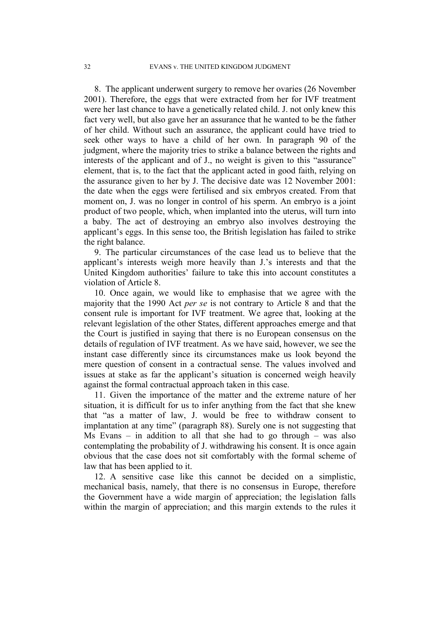8. The applicant underwent surgery to remove her ovaries (26 November 2001). Therefore, the eggs that were extracted from her for IVF treatment were her last chance to have a genetically related child. J. not only knew this fact very well, but also gave her an assurance that he wanted to be the father of her child. Without such an assurance, the applicant could have tried to seek other ways to have a child of her own. In paragraph 90 of the judgment, where the majority tries to strike a balance between the rights and interests of the applicant and of J., no weight is given to this "assurance" element, that is, to the fact that the applicant acted in good faith, relying on the assurance given to her by J. The decisive date was 12 November 2001: the date when the eggs were fertilised and six embryos created. From that moment on, J. was no longer in control of his sperm. An embryo is a joint product of two people, which, when implanted into the uterus, will turn into a baby. The act of destroying an embryo also involves destroying the applicant's eggs. In this sense too, the British legislation has failed to strike the right balance.

9. The particular circumstances of the case lead us to believe that the applicant's interests weigh more heavily than J.'s interests and that the United Kingdom authorities' failure to take this into account constitutes a violation of Article 8.

10. Once again, we would like to emphasise that we agree with the majority that the 1990 Act *per se* is not contrary to Article 8 and that the consent rule is important for IVF treatment. We agree that, looking at the relevant legislation of the other States, different approaches emerge and that the Court is justified in saying that there is no European consensus on the details of regulation of IVF treatment. As we have said, however, we see the instant case differently since its circumstances make us look beyond the mere question of consent in a contractual sense. The values involved and issues at stake as far the applicant's situation is concerned weigh heavily against the formal contractual approach taken in this case.

11. Given the importance of the matter and the extreme nature of her situation, it is difficult for us to infer anything from the fact that she knew that "as a matter of law, J. would be free to withdraw consent to implantation at any time" (paragraph 88). Surely one is not suggesting that Ms Evans – in addition to all that she had to go through – was also contemplating the probability of J. withdrawing his consent. It is once again obvious that the case does not sit comfortably with the formal scheme of law that has been applied to it.

12. A sensitive case like this cannot be decided on a simplistic, mechanical basis, namely, that there is no consensus in Europe, therefore the Government have a wide margin of appreciation; the legislation falls within the margin of appreciation; and this margin extends to the rules it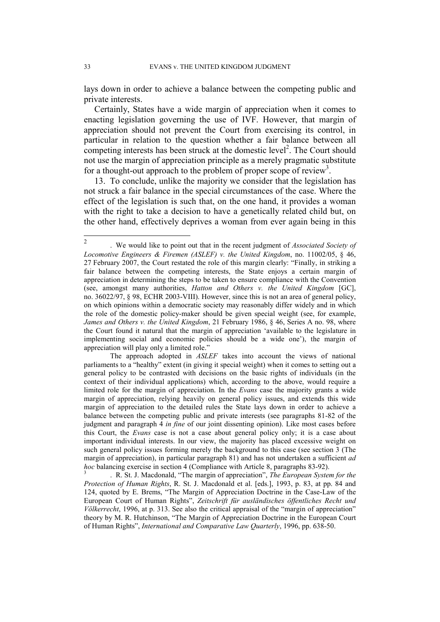lays down in order to achieve a balance between the competing public and private interests.

Certainly, States have a wide margin of appreciation when it comes to enacting legislation governing the use of IVF. However, that margin of appreciation should not prevent the Court from exercising its control, in particular in relation to the question whether a fair balance between all competing interests has been struck at the domestic level<sup>2</sup>. The Court should not use the margin of appreciation principle as a merely pragmatic substitute for a thought-out approach to the problem of proper scope of review<sup>3</sup>.

13. To conclude, unlike the majority we consider that the legislation has not struck a fair balance in the special circumstances of the case. Where the effect of the legislation is such that, on the one hand, it provides a woman with the right to take a decision to have a genetically related child but, on the other hand, effectively deprives a woman from ever again being in this

 The approach adopted in *ASLEF* takes into account the views of national parliaments to a "healthy" extent (in giving it special weight) when it comes to setting out a general policy to be contrasted with decisions on the basic rights of individuals (in the context of their individual applications) which, according to the above, would require a limited role for the margin of appreciation. In the *Evans* case the majority grants a wide margin of appreciation, relying heavily on general policy issues, and extends this wide margin of appreciation to the detailed rules the State lays down in order to achieve a balance between the competing public and private interests (see paragraphs 81-82 of the judgment and paragraph 4 *in fine* of our joint dissenting opinion). Like most cases before this Court, the *Evans* case is not a case about general policy only; it is a case about important individual interests. In our view, the majority has placed excessive weight on such general policy issues forming merely the background to this case (see section 3 (The margin of appreciation), in particular paragraph 81) and has not undertaken a sufficient *ad hoc* balancing exercise in section 4 (Compliance with Article 8, paragraphs 83-92).

3 . R. St. J. Macdonald, "The margin of appreciation", *The European System for the Protection of Human Rights*, R. St. J. Macdonald et al. [eds.], 1993, p. 83, at pp. 84 and 124, quoted by E. Brems, "The Margin of Appreciation Doctrine in the Case-Law of the European Court of Human Rights", *Zeitschrift für ausländisches öffentliches Recht und Völkerrecht*, 1996, at p. 313. See also the critical appraisal of the "margin of appreciation" theory by M. R. Hutchinson, "The Margin of Appreciation Doctrine in the European Court of Human Rights", *International and Comparative Law Quarterly*, 1996, pp. 638-50.

 $\frac{1}{2}$  . We would like to point out that in the recent judgment of *Associated Society of Locomotive Engineers & Firemen (ASLEF) v. the United Kingdom*, no. 11002/05, § 46, 27 February 2007, the Court restated the role of this margin clearly: "Finally, in striking a fair balance between the competing interests, the State enjoys a certain margin of appreciation in determining the steps to be taken to ensure compliance with the Convention (see, amongst many authorities, *Hatton and Others v. the United Kingdom* [GC], no. 36022/97, § 98, ECHR 2003-VIII). However, since this is not an area of general policy, on which opinions within a democratic society may reasonably differ widely and in which the role of the domestic policy-maker should be given special weight (see, for example, *James and Others v. the United Kingdom*, 21 February 1986, § 46, Series A no. 98, where the Court found it natural that the margin of appreciation 'available to the legislature in implementing social and economic policies should be a wide one'), the margin of appreciation will play only a limited role."